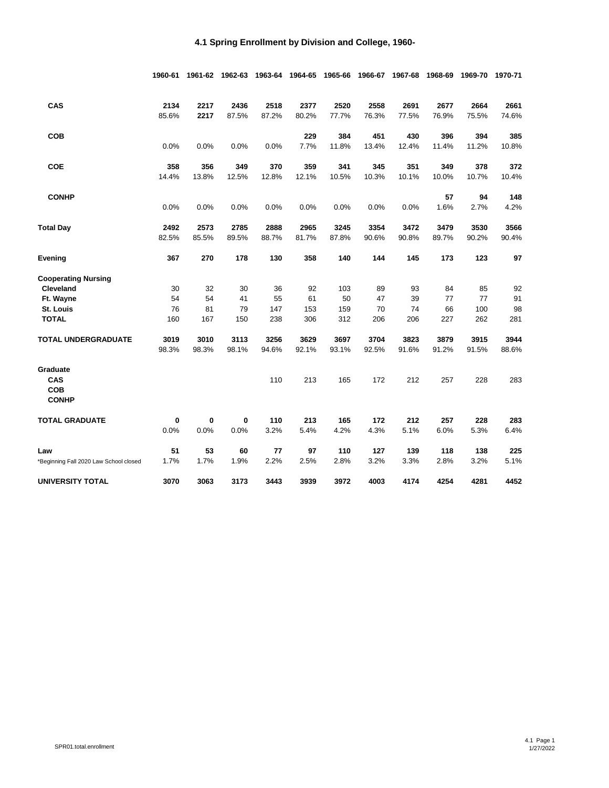|                                       | 1960-61 | 1961-62 | 1962-63 | 1963-64 | 1964-65 | 1965-66 | 1966-67 | 1967-68 | 1968-69 | 1969-70 | 1970-71 |
|---------------------------------------|---------|---------|---------|---------|---------|---------|---------|---------|---------|---------|---------|
| CAS                                   | 2134    | 2217    | 2436    | 2518    | 2377    | 2520    | 2558    | 2691    | 2677    | 2664    | 2661    |
|                                       | 85.6%   | 2217    | 87.5%   | 87.2%   | 80.2%   | 77.7%   | 76.3%   | 77.5%   | 76.9%   | 75.5%   | 74.6%   |
| <b>COB</b>                            |         |         |         |         | 229     | 384     | 451     | 430     | 396     | 394     | 385     |
|                                       | 0.0%    | 0.0%    | 0.0%    | 0.0%    | 7.7%    | 11.8%   | 13.4%   | 12.4%   | 11.4%   | 11.2%   | 10.8%   |
| <b>COE</b>                            | 358     | 356     | 349     | 370     | 359     | 341     | 345     | 351     | 349     | 378     | 372     |
|                                       | 14.4%   | 13.8%   | 12.5%   | 12.8%   | 12.1%   | 10.5%   | 10.3%   | 10.1%   | 10.0%   | 10.7%   | 10.4%   |
| <b>CONHP</b>                          |         |         |         |         |         |         |         |         | 57      | 94      | 148     |
|                                       | 0.0%    | 0.0%    | 0.0%    | 0.0%    | 0.0%    | 0.0%    | 0.0%    | 0.0%    | 1.6%    | 2.7%    | 4.2%    |
| <b>Total Day</b>                      | 2492    | 2573    | 2785    | 2888    | 2965    | 3245    | 3354    | 3472    | 3479    | 3530    | 3566    |
|                                       | 82.5%   | 85.5%   | 89.5%   | 88.7%   | 81.7%   | 87.8%   | 90.6%   | 90.8%   | 89.7%   | 90.2%   | 90.4%   |
| Evening                               | 367     | 270     | 178     | 130     | 358     | 140     | 144     | 145     | 173     | 123     | 97      |
| <b>Cooperating Nursing</b>            |         |         |         |         |         |         |         |         |         |         |         |
| Cleveland                             | 30      | 32      | 30      | 36      | 92      | 103     | 89      | 93      | 84      | 85      | 92      |
| Ft. Wayne                             | 54      | 54      | 41      | 55      | 61      | 50      | 47      | 39      | 77      | 77      | 91      |
| St. Louis                             | 76      | 81      | 79      | 147     | 153     | 159     | 70      | 74      | 66      | 100     | 98      |
| <b>TOTAL</b>                          | 160     | 167     | 150     | 238     | 306     | 312     | 206     | 206     | 227     | 262     | 281     |
| <b>TOTAL UNDERGRADUATE</b>            | 3019    | 3010    | 3113    | 3256    | 3629    | 3697    | 3704    | 3823    | 3879    | 3915    | 3944    |
|                                       | 98.3%   | 98.3%   | 98.1%   | 94.6%   | 92.1%   | 93.1%   | 92.5%   | 91.6%   | 91.2%   | 91.5%   | 88.6%   |
| Graduate                              |         |         |         |         |         |         |         |         |         |         |         |
| CAS                                   |         |         |         | 110     | 213     | 165     | 172     | 212     | 257     | 228     | 283     |
| COB                                   |         |         |         |         |         |         |         |         |         |         |         |
| <b>CONHP</b>                          |         |         |         |         |         |         |         |         |         |         |         |
| <b>TOTAL GRADUATE</b>                 | 0       | 0       | 0       | 110     | 213     | 165     | 172     | 212     | 257     | 228     | 283     |
|                                       | 0.0%    | 0.0%    | 0.0%    | 3.2%    | 5.4%    | 4.2%    | 4.3%    | 5.1%    | 6.0%    | 5.3%    | 6.4%    |
| Law                                   | 51      | 53      | 60      | 77      | 97      | 110     | 127     | 139     | 118     | 138     | 225     |
| Beginning Fall 2020 Law School closed | 1.7%    | 1.7%    | 1.9%    | 2.2%    | 2.5%    | 2.8%    | 3.2%    | 3.3%    | 2.8%    | 3.2%    | 5.1%    |
| UNIVERSITY TOTAL                      | 3070    | 3063    | 3173    | 3443    | 3939    | 3972    | 4003    | 4174    | 4254    | 4281    | 4452    |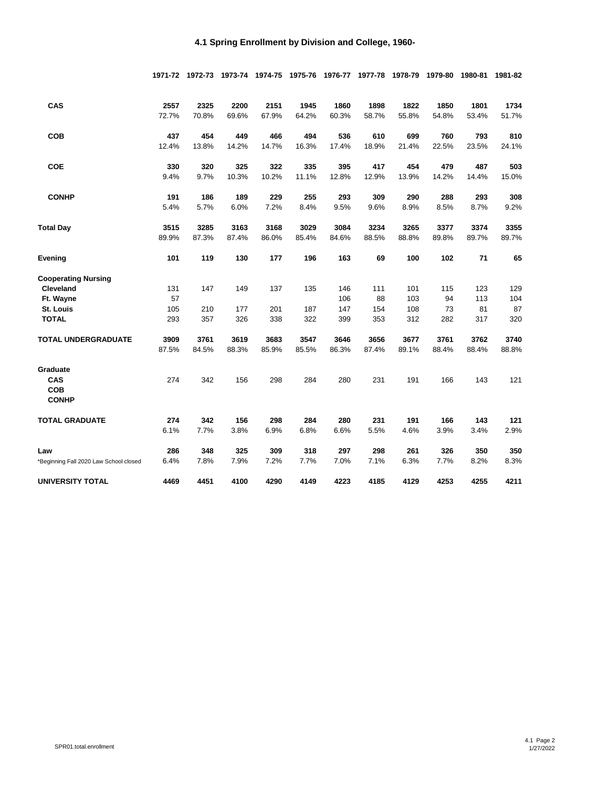|                                        |       | 1971-72 1972-73 | 1973-74 | 1974-75 | 1975-76 | 1976-77 | 1977-78 | 1978-79 | 1979-80 | 1980-81 | 1981-82 |
|----------------------------------------|-------|-----------------|---------|---------|---------|---------|---------|---------|---------|---------|---------|
| CAS                                    | 2557  | 2325            | 2200    | 2151    | 1945    | 1860    | 1898    | 1822    | 1850    | 1801    | 1734    |
|                                        | 72.7% | 70.8%           | 69.6%   | 67.9%   | 64.2%   | 60.3%   | 58.7%   | 55.8%   | 54.8%   | 53.4%   | 51.7%   |
| <b>COB</b>                             | 437   | 454             | 449     | 466     | 494     | 536     | 610     | 699     | 760     | 793     | 810     |
|                                        | 12.4% | 13.8%           | 14.2%   | 14.7%   | 16.3%   | 17.4%   | 18.9%   | 21.4%   | 22.5%   | 23.5%   | 24.1%   |
| <b>COE</b>                             | 330   | 320             | 325     | 322     | 335     | 395     | 417     | 454     | 479     | 487     | 503     |
|                                        | 9.4%  | 9.7%            | 10.3%   | 10.2%   | 11.1%   | 12.8%   | 12.9%   | 13.9%   | 14.2%   | 14.4%   | 15.0%   |
| <b>CONHP</b>                           | 191   | 186             | 189     | 229     | 255     | 293     | 309     | 290     | 288     | 293     | 308     |
|                                        | 5.4%  | 5.7%            | 6.0%    | 7.2%    | 8.4%    | 9.5%    | 9.6%    | 8.9%    | 8.5%    | 8.7%    | 9.2%    |
| <b>Total Day</b>                       | 3515  | 3285            | 3163    | 3168    | 3029    | 3084    | 3234    | 3265    | 3377    | 3374    | 3355    |
|                                        | 89.9% | 87.3%           | 87.4%   | 86.0%   | 85.4%   | 84.6%   | 88.5%   | 88.8%   | 89.8%   | 89.7%   | 89.7%   |
| Evening                                | 101   | 119             | 130     | 177     | 196     | 163     | 69      | 100     | 102     | 71      | 65      |
| <b>Cooperating Nursing</b>             |       |                 |         |         |         |         |         |         |         |         |         |
| <b>Cleveland</b>                       | 131   | 147             | 149     | 137     | 135     | 146     | 111     | 101     | 115     | 123     | 129     |
| Ft. Wayne                              | 57    |                 |         |         |         | 106     | 88      | 103     | 94      | 113     | 104     |
| <b>St. Louis</b>                       | 105   | 210             | 177     | 201     | 187     | 147     | 154     | 108     | 73      | 81      | 87      |
| <b>TOTAL</b>                           | 293   | 357             | 326     | 338     | 322     | 399     | 353     | 312     | 282     | 317     | 320     |
| <b>TOTAL UNDERGRADUATE</b>             | 3909  | 3761            | 3619    | 3683    | 3547    | 3646    | 3656    | 3677    | 3761    | 3762    | 3740    |
|                                        | 87.5% | 84.5%           | 88.3%   | 85.9%   | 85.5%   | 86.3%   | 87.4%   | 89.1%   | 88.4%   | 88.4%   | 88.8%   |
| Graduate                               |       |                 |         |         |         |         |         |         |         |         |         |
| CAS                                    | 274   | 342             | 156     | 298     | 284     | 280     | 231     | 191     | 166     | 143     | 121     |
| COB<br><b>CONHP</b>                    |       |                 |         |         |         |         |         |         |         |         |         |
| TOTAL GRADUATE                         | 274   | 342             | 156     | 298     | 284     | 280     | 231     | 191     | 166     | 143     | 121     |
|                                        | 6.1%  | 7.7%            | 3.8%    | 6.9%    | 6.8%    | 6.6%    | 5.5%    | 4.6%    | 3.9%    | 3.4%    | 2.9%    |
| Law                                    | 286   | 348             | 325     | 309     | 318     | 297     | 298     | 261     | 326     | 350     | 350     |
| *Beginning Fall 2020 Law School closed | 6.4%  | 7.8%            | 7.9%    | 7.2%    | 7.7%    | 7.0%    | 7.1%    | 6.3%    | 7.7%    | 8.2%    | 8.3%    |
| <b>UNIVERSITY TOTAL</b>                | 4469  | 4451            | 4100    | 4290    | 4149    | 4223    | 4185    | 4129    | 4253    | 4255    | 4211    |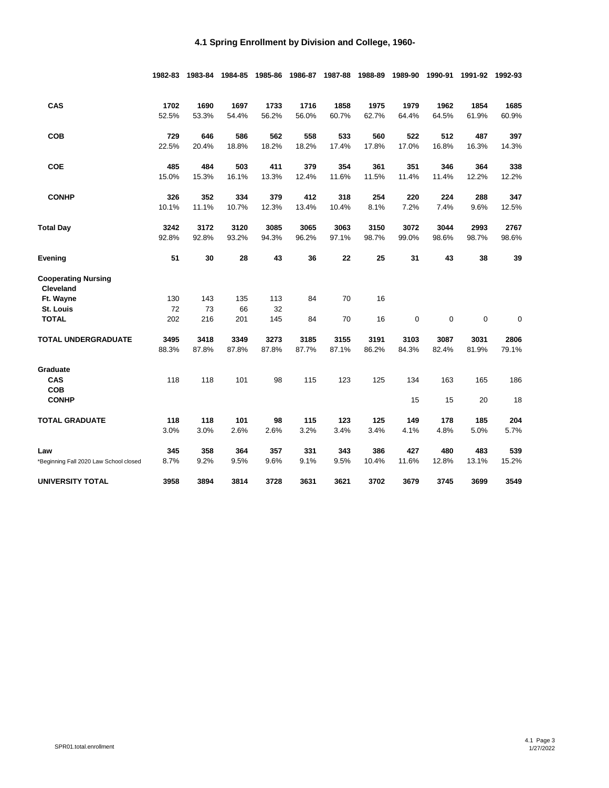|                                                | 1982-83 | 1983-84 | 1984-85 | 1985-86 | 1986-87 | 1987-88 | 1988-89 | 1989-90     | 1990-91     | 1991-92 | 1992-93 |
|------------------------------------------------|---------|---------|---------|---------|---------|---------|---------|-------------|-------------|---------|---------|
| CAS                                            | 1702    | 1690    | 1697    | 1733    | 1716    | 1858    | 1975    | 1979        | 1962        | 1854    | 1685    |
|                                                | 52.5%   | 53.3%   | 54.4%   | 56.2%   | 56.0%   | 60.7%   | 62.7%   | 64.4%       | 64.5%       | 61.9%   | 60.9%   |
| COB                                            | 729     | 646     | 586     | 562     | 558     | 533     | 560     | 522         | 512         | 487     | 397     |
|                                                | 22.5%   | 20.4%   | 18.8%   | 18.2%   | 18.2%   | 17.4%   | 17.8%   | 17.0%       | 16.8%       | 16.3%   | 14.3%   |
| <b>COE</b>                                     | 485     | 484     | 503     | 411     | 379     | 354     | 361     | 351         | 346         | 364     | 338     |
|                                                | 15.0%   | 15.3%   | 16.1%   | 13.3%   | 12.4%   | 11.6%   | 11.5%   | 11.4%       | 11.4%       | 12.2%   | 12.2%   |
| <b>CONHP</b>                                   | 326     | 352     | 334     | 379     | 412     | 318     | 254     | 220         | 224         | 288     | 347     |
|                                                | 10.1%   | 11.1%   | 10.7%   | 12.3%   | 13.4%   | 10.4%   | 8.1%    | 7.2%        | 7.4%        | 9.6%    | 12.5%   |
| <b>Total Day</b>                               | 3242    | 3172    | 3120    | 3085    | 3065    | 3063    | 3150    | 3072        | 3044        | 2993    | 2767    |
|                                                | 92.8%   | 92.8%   | 93.2%   | 94.3%   | 96.2%   | 97.1%   | 98.7%   | 99.0%       | 98.6%       | 98.7%   | 98.6%   |
| Evening                                        | 51      | 30      | 28      | 43      | 36      | 22      | 25      | 31          | 43          | 38      | 39      |
| <b>Cooperating Nursing</b><br><b>Cleveland</b> |         |         |         |         |         |         |         |             |             |         |         |
| Ft. Wayne                                      | 130     | 143     | 135     | 113     | 84      | 70      | 16      |             |             |         |         |
| St. Louis                                      | 72      | 73      | 66      | 32      |         |         |         |             |             |         |         |
| <b>TOTAL</b>                                   | 202     | 216     | 201     | 145     | 84      | 70      | 16      | $\mathbf 0$ | $\mathbf 0$ | 0       | 0       |
| TOTAL UNDERGRADUATE                            | 3495    | 3418    | 3349    | 3273    | 3185    | 3155    | 3191    | 3103        | 3087        | 3031    | 2806    |
|                                                | 88.3%   | 87.8%   | 87.8%   | 87.8%   | 87.7%   | 87.1%   | 86.2%   | 84.3%       | 82.4%       | 81.9%   | 79.1%   |
| Graduate                                       |         |         |         |         |         |         |         |             |             |         |         |
| CAS                                            | 118     | 118     | 101     | 98      | 115     | 123     | 125     | 134         | 163         | 165     | 186     |
| COB<br><b>CONHP</b>                            |         |         |         |         |         |         |         | 15          | 15          | 20      | 18      |
| <b>TOTAL GRADUATE</b>                          | 118     | 118     | 101     | 98      | 115     | 123     | 125     | 149         | 178         | 185     | 204     |
|                                                | 3.0%    | 3.0%    | 2.6%    | 2.6%    | 3.2%    | 3.4%    | 3.4%    | 4.1%        | 4.8%        | 5.0%    | 5.7%    |
| Law                                            | 345     | 358     | 364     | 357     | 331     | 343     | 386     | 427         | 480         | 483     | 539     |
| *Beginning Fall 2020 Law School closed         | 8.7%    | 9.2%    | 9.5%    | 9.6%    | 9.1%    | 9.5%    | 10.4%   | 11.6%       | 12.8%       | 13.1%   | 15.2%   |
| UNIVERSITY TOTAL                               | 3958    | 3894    | 3814    | 3728    | 3631    | 3621    | 3702    | 3679        | 3745        | 3699    | 3549    |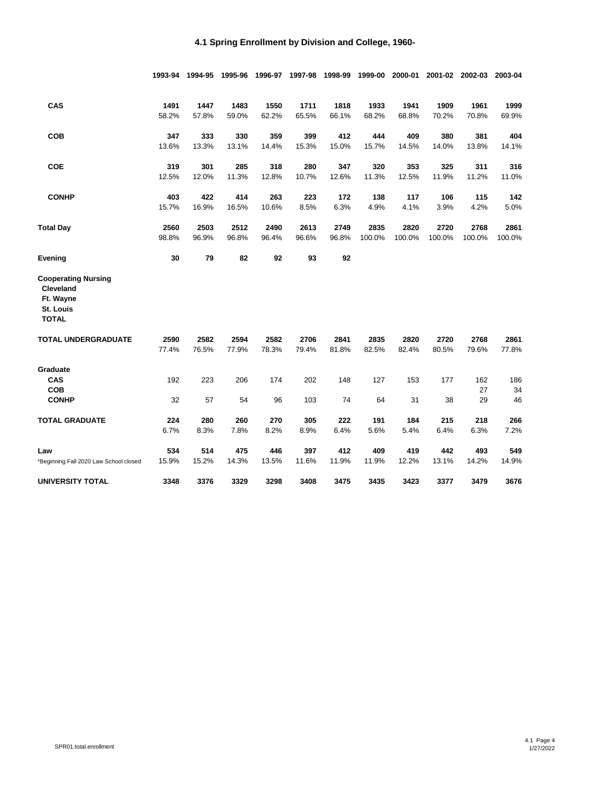|                                                                                   | 1993-94       | 1994-95       | 1995-96       | 1996-97       | 1997-98       | 1998-99       | 1999-00       | 2000-01       | 2001-02       | 2002-03       | 2003-04       |
|-----------------------------------------------------------------------------------|---------------|---------------|---------------|---------------|---------------|---------------|---------------|---------------|---------------|---------------|---------------|
| CAS                                                                               | 1491          | 1447          | 1483          | 1550          | 1711          | 1818          | 1933          | 1941          | 1909          | 1961          | 1999          |
|                                                                                   | 58.2%         | 57.8%         | 59.0%         | 62.2%         | 65.5%         | 66.1%         | 68.2%         | 68.8%         | 70.2%         | 70.8%         | 69.9%         |
| COB                                                                               | 347           | 333           | 330           | 359           | 399           | 412           | 444           | 409           | 380           | 381           | 404           |
|                                                                                   | 13.6%         | 13.3%         | 13.1%         | 14.4%         | 15.3%         | 15.0%         | 15.7%         | 14.5%         | 14.0%         | 13.8%         | 14.1%         |
| <b>COE</b>                                                                        | 319           | 301           | 285           | 318           | 280           | 347           | 320           | 353           | 325           | 311           | 316           |
|                                                                                   | 12.5%         | 12.0%         | 11.3%         | 12.8%         | 10.7%         | 12.6%         | 11.3%         | 12.5%         | 11.9%         | 11.2%         | 11.0%         |
| <b>CONHP</b>                                                                      | 403           | 422           | 414           | 263           | 223           | 172           | 138           | 117           | 106           | 115           | 142           |
|                                                                                   | 15.7%         | 16.9%         | 16.5%         | 10.6%         | 8.5%          | 6.3%          | 4.9%          | 4.1%          | 3.9%          | 4.2%          | 5.0%          |
| <b>Total Day</b>                                                                  | 2560          | 2503          | 2512          | 2490          | 2613          | 2749          | 2835          | 2820          | 2720          | 2768          | 2861          |
|                                                                                   | 98.8%         | 96.9%         | 96.8%         | 96.4%         | 96.6%         | 96.8%         | 100.0%        | 100.0%        | 100.0%        | 100.0%        | 100.0%        |
| Evening                                                                           | 30            | 79            | 82            | 92            | 93            | 92            |               |               |               |               |               |
| <b>Cooperating Nursing</b><br>Cleveland<br>Ft. Wayne<br>St. Louis<br><b>TOTAL</b> |               |               |               |               |               |               |               |               |               |               |               |
| <b>TOTAL UNDERGRADUATE</b>                                                        | 2590<br>77.4% | 2582<br>76.5% | 2594<br>77.9% | 2582<br>78.3% | 2706<br>79.4% | 2841<br>81.8% | 2835<br>82.5% | 2820<br>82.4% | 2720<br>80.5% | 2768<br>79.6% | 2861<br>77.8% |
| Graduate                                                                          |               |               |               |               |               |               |               |               |               |               |               |
| CAS<br><b>COB</b>                                                                 | 192           | 223           | 206           | 174           | 202           | 148           | 127           | 153           | 177           | 162<br>27     | 186<br>34     |
| <b>CONHP</b>                                                                      | 32            | 57            | 54            | 96            | 103           | 74            | 64            | 31            | 38            | 29            | 46            |
| <b>TOTAL GRADUATE</b>                                                             | 224           | 280           | 260           | 270           | 305           | 222           | 191           | 184           | 215           | 218           | 266           |
|                                                                                   | 6.7%          | 8.3%          | 7.8%          | 8.2%          | 8.9%          | 6.4%          | 5.6%          | 5.4%          | 6.4%          | 6.3%          | 7.2%          |
| Law                                                                               | 534           | 514           | 475           | 446           | 397           | 412           | 409           | 419           | 442           | 493           | 549           |
| Beginning Fall 2020 Law School closed                                             | 15.9%         | 15.2%         | 14.3%         | 13.5%         | 11.6%         | 11.9%         | 11.9%         | 12.2%         | 13.1%         | 14.2%         | 14.9%         |
| <b>UNIVERSITY TOTAL</b>                                                           | 3348          | 3376          | 3329          | 3298          | 3408          | 3475          | 3435          | 3423          | 3377          | 3479          | 3676          |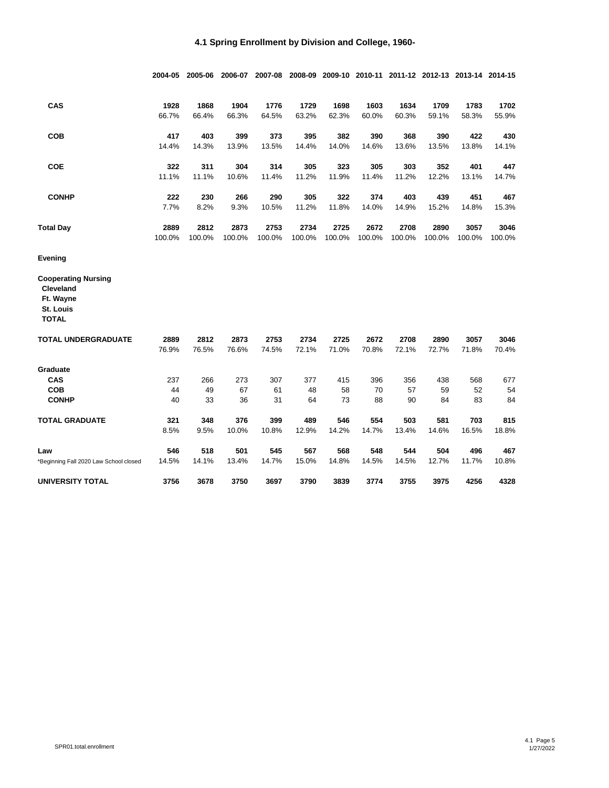|                                                                   | 2004-05       | 2005-06       | 2006-07       | 2007-08       | 2008-09       |               |               |               |               | 2009-10 2010-11 2011-12 2012-13 2013-14 2014-15 |               |
|-------------------------------------------------------------------|---------------|---------------|---------------|---------------|---------------|---------------|---------------|---------------|---------------|-------------------------------------------------|---------------|
| CAS                                                               | 1928          | 1868          | 1904          | 1776          | 1729          | 1698          | 1603          | 1634          | 1709          | 1783                                            | 1702          |
|                                                                   | 66.7%         | 66.4%         | 66.3%         | 64.5%         | 63.2%         | 62.3%         | 60.0%         | 60.3%         | 59.1%         | 58.3%                                           | 55.9%         |
| <b>COB</b>                                                        | 417           | 403           | 399           | 373           | 395           | 382           | 390           | 368           | 390           | 422                                             | 430           |
|                                                                   | 14.4%         | 14.3%         | 13.9%         | 13.5%         | 14.4%         | 14.0%         | 14.6%         | 13.6%         | 13.5%         | 13.8%                                           | 14.1%         |
| <b>COE</b>                                                        | 322           | 311           | 304           | 314           | 305           | 323           | 305           | 303           | 352           | 401                                             | 447           |
|                                                                   | 11.1%         | 11.1%         | 10.6%         | 11.4%         | 11.2%         | 11.9%         | 11.4%         | 11.2%         | 12.2%         | 13.1%                                           | 14.7%         |
| <b>CONHP</b>                                                      | 222           | 230           | 266           | 290           | 305           | 322           | 374           | 403           | 439           | 451                                             | 467           |
|                                                                   | 7.7%          | 8.2%          | 9.3%          | 10.5%         | 11.2%         | 11.8%         | 14.0%         | 14.9%         | 15.2%         | 14.8%                                           | 15.3%         |
| <b>Total Day</b>                                                  | 2889          | 2812          | 2873          | 2753          | 2734          | 2725          | 2672          | 2708          | 2890          | 3057                                            | 3046          |
|                                                                   | 100.0%        | 100.0%        | 100.0%        | 100.0%        | 100.0%        | 100.0%        | 100.0%        | 100.0%        | 100.0%        | 100.0%                                          | 100.0%        |
| Evening                                                           |               |               |               |               |               |               |               |               |               |                                                 |               |
| <b>Cooperating Nursing</b><br>Cleveland<br>Ft. Wayne<br>St. Louis |               |               |               |               |               |               |               |               |               |                                                 |               |
| <b>TOTAL</b>                                                      |               |               |               |               |               |               |               |               |               |                                                 |               |
| <b>TOTAL UNDERGRADUATE</b>                                        | 2889<br>76.9% | 2812<br>76.5% | 2873<br>76.6% | 2753<br>74.5% | 2734<br>72.1% | 2725<br>71.0% | 2672<br>70.8% | 2708<br>72.1% | 2890<br>72.7% | 3057<br>71.8%                                   | 3046<br>70.4% |
| Graduate                                                          |               |               |               |               |               |               |               |               |               |                                                 |               |
| CAS                                                               | 237           | 266           | 273           | 307           | 377           | 415           | 396           | 356           | 438           | 568                                             | 677           |
| <b>COB</b>                                                        | 44            | 49            | 67            | 61            | 48            | 58            | 70            | 57            | 59            | 52                                              | 54            |
| <b>CONHP</b>                                                      | 40            | 33            | 36            | 31            | 64            | 73            | 88            | 90            | 84            | 83                                              | 84            |
| <b>TOTAL GRADUATE</b>                                             | 321           | 348           | 376           | 399           | 489           | 546           | 554           | 503           | 581           | 703                                             | 815           |
|                                                                   | 8.5%          | 9.5%          | 10.0%         | 10.8%         | 12.9%         | 14.2%         | 14.7%         | 13.4%         | 14.6%         | 16.5%                                           | 18.8%         |
| Law                                                               | 546           | 518           | 501           | 545           | 567           | 568           | 548           | 544           | 504           | 496                                             | 467           |
| Beginning Fall 2020 Law School closed                             | 14.5%         | 14.1%         | 13.4%         | 14.7%         | 15.0%         | 14.8%         | 14.5%         | 14.5%         | 12.7%         | 11.7%                                           | 10.8%         |
| UNIVERSITY TOTAL                                                  | 3756          | 3678          | 3750          | 3697          | 3790          | 3839          | 3774          | 3755          | 3975          | 4256                                            | 4328          |